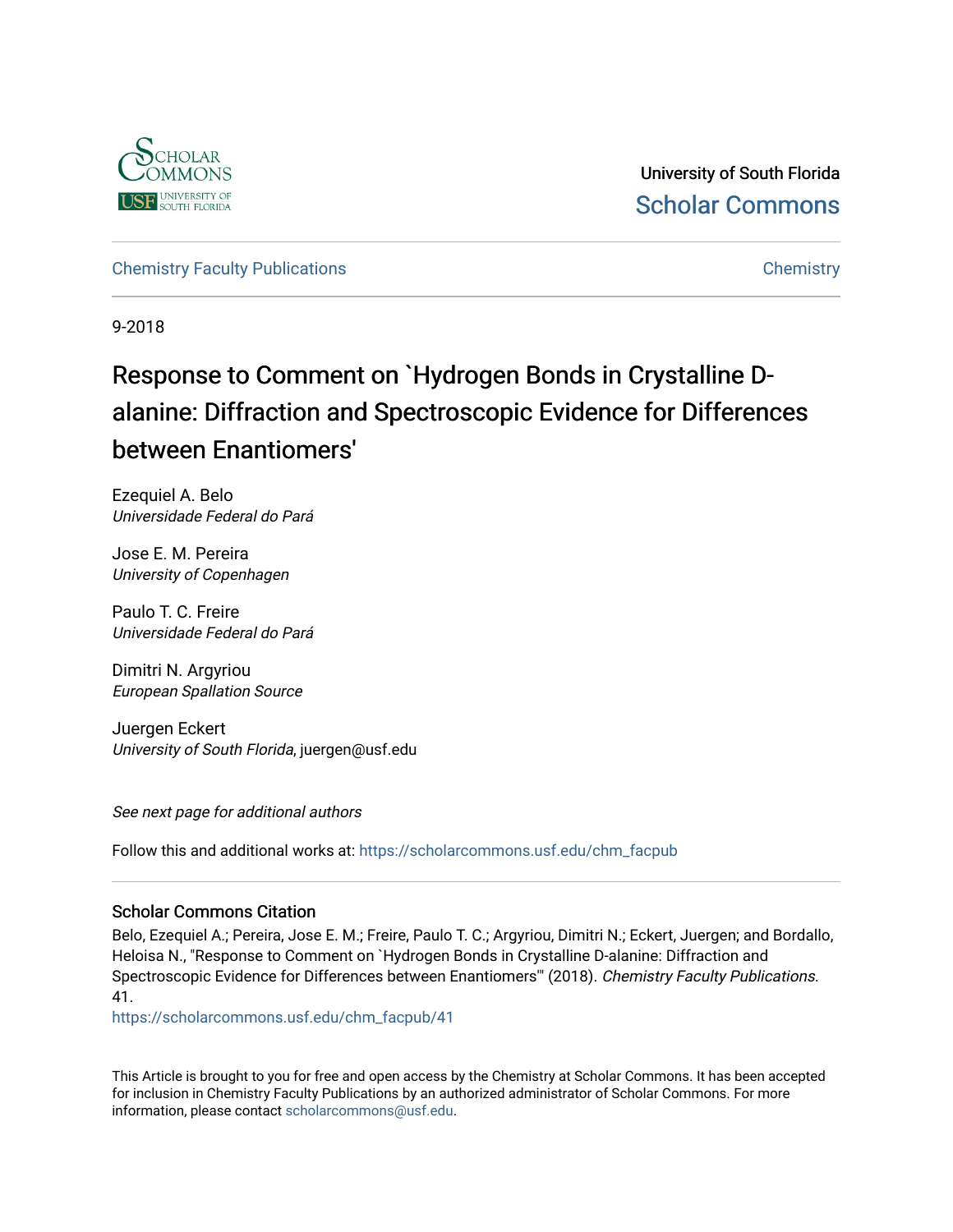

University of South Florida [Scholar Commons](https://scholarcommons.usf.edu/) 

[Chemistry Faculty Publications](https://scholarcommons.usf.edu/chm_facpub) **Chemistry** Chemistry

9-2018

# Response to Comment on `Hydrogen Bonds in Crystalline Dalanine: Diffraction and Spectroscopic Evidence for Differences between Enantiomers'

Ezequiel A. Belo Universidade Federal do Pará

Jose E. M. Pereira University of Copenhagen

Paulo T. C. Freire Universidade Federal do Pará

Dimitri N. Argyriou European Spallation Source

Juergen Eckert University of South Florida, juergen@usf.edu

See next page for additional authors

Follow this and additional works at: [https://scholarcommons.usf.edu/chm\\_facpub](https://scholarcommons.usf.edu/chm_facpub?utm_source=scholarcommons.usf.edu%2Fchm_facpub%2F41&utm_medium=PDF&utm_campaign=PDFCoverPages) 

### Scholar Commons Citation

Belo, Ezequiel A.; Pereira, Jose E. M.; Freire, Paulo T. C.; Argyriou, Dimitri N.; Eckert, Juergen; and Bordallo, Heloisa N., "Response to Comment on `Hydrogen Bonds in Crystalline D-alanine: Diffraction and Spectroscopic Evidence for Differences between Enantiomers" (2018). Chemistry Faculty Publications. 41.

[https://scholarcommons.usf.edu/chm\\_facpub/41](https://scholarcommons.usf.edu/chm_facpub/41?utm_source=scholarcommons.usf.edu%2Fchm_facpub%2F41&utm_medium=PDF&utm_campaign=PDFCoverPages)

This Article is brought to you for free and open access by the Chemistry at Scholar Commons. It has been accepted for inclusion in Chemistry Faculty Publications by an authorized administrator of Scholar Commons. For more information, please contact [scholarcommons@usf.edu](mailto:scholarcommons@usf.edu).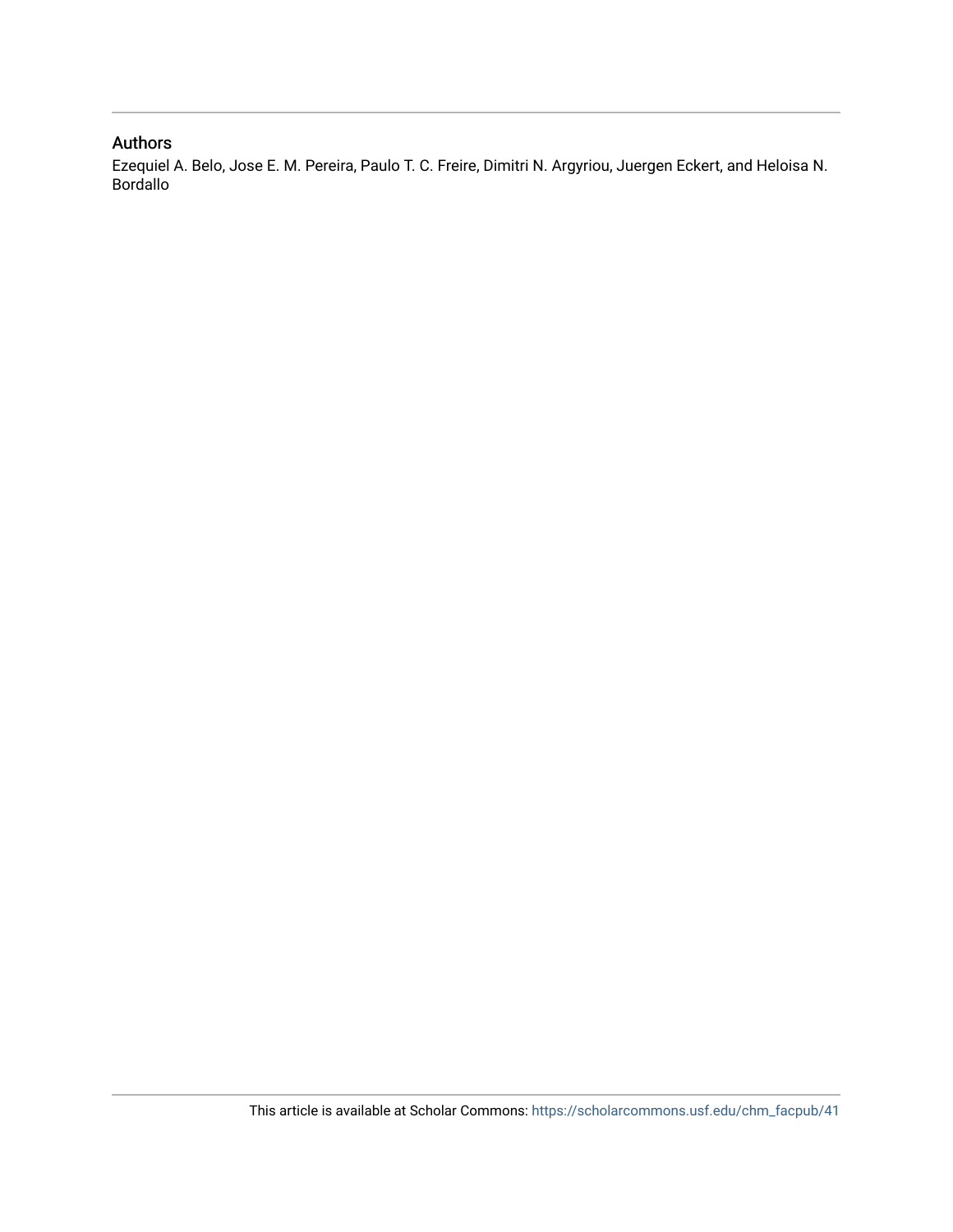### Authors

Ezequiel A. Belo, Jose E. M. Pereira, Paulo T. C. Freire, Dimitri N. Argyriou, Juergen Eckert, and Heloisa N. Bordallo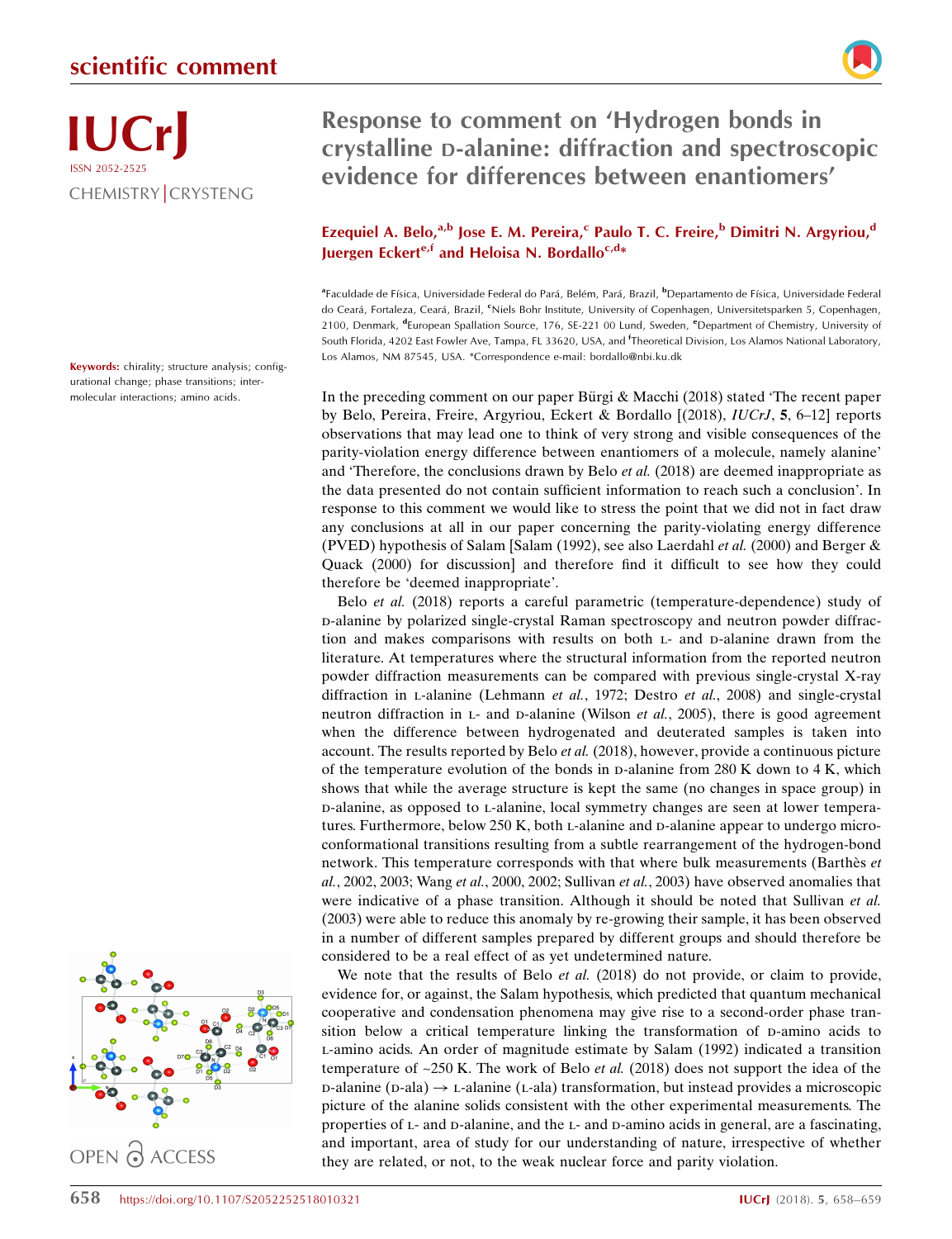

Keywords: chirality; structure analysis; configurational change; phase transitions; intermolecular interactions; amino acids.



## Response to comment on 'Hydrogen bonds in crystalline D-alanine: diffraction and spectroscopic evidence for differences between enantiomers'

### Ezequiel A. Belo,<sup>a,b</sup> Jose E. M. Pereira,<sup>c</sup> Paulo T. C. Freire,<sup>b</sup> Dimitri N. Argyriou,<sup>d</sup> Juergen Eckert<sup>e,f</sup> and Heloisa N. Bordallo<sup>c,d\*</sup>

<sup>a</sup>Faculdade de Física, Universidade Federal do Pará, Belém, Pará, Brazil, <sup>b</sup>Departamento de Física, Universidade Federal do Ceará, Fortaleza, Ceará, Brazil, <sup>c</sup>Niels Bohr Institute, University of Copenhagen, Universitetsparken 5, Copenhagen, 2100, Denmark, <sup>d</sup>European Spallation Source, 176, SE-221 00 Lund, Sweden, <sup>e</sup>Department of Chemistry, University of South Florida, 4202 East Fowler Ave, Tampa, FL 33620, USA, and <sup>f</sup>Theoretical Division, Los Alamos National Laboratory, Los Alamos, NM 87545, USA. \*Correspondence e-mail: bordallo@nbi.ku.dk

In the preceding comment on our paper Bürgi  $&$  Macchi (2018) stated 'The recent paper by Belo, Pereira, Freire, Argyriou, Eckert & Bordallo [(2018), IUCrJ, 5, 6–12] reports observations that may lead one to think of very strong and visible consequences of the parity-violation energy difference between enantiomers of a molecule, namely alanine' and 'Therefore, the conclusions drawn by Belo et al. (2018) are deemed inappropriate as the data presented do not contain sufficient information to reach such a conclusion'. In response to this comment we would like to stress the point that we did not in fact draw any conclusions at all in our paper concerning the parity-violating energy difference (PVED) hypothesis of Salam [Salam (1992), see also Laerdahl et al. (2000) and Berger  $\&$ Quack (2000) for discussion] and therefore find it difficult to see how they could therefore be 'deemed inappropriate'.

Belo et al. (2018) reports a careful parametric (temperature-dependence) study of d-alanine by polarized single-crystal Raman spectroscopy and neutron powder diffraction and makes comparisons with results on both L- and D-alanine drawn from the literature. At temperatures where the structural information from the reported neutron powder diffraction measurements can be compared with previous single-crystal X-ray diffraction in L-alanine (Lehmann et al., 1972; Destro et al., 2008) and single-crystal neutron diffraction in  $L$ - and  $D$ -alanine (Wilson *et al.*, 2005), there is good agreement when the difference between hydrogenated and deuterated samples is taken into account. The results reported by Belo et al. (2018), however, provide a continuous picture of the temperature evolution of the bonds in p-alanine from  $280 \text{ K}$  down to  $4 \text{ K}$ , which shows that while the average structure is kept the same (no changes in space group) in d-alanine, as opposed to l-alanine, local symmetry changes are seen at lower temperatures. Furthermore, below 250 K, both L-alanine and D-alanine appear to undergo microconformational transitions resulting from a subtle rearrangement of the hydrogen-bond network. This temperature corresponds with that where bulk measurements (Barthès et  $al.$ , 2002, 2003; Wang et al., 2000, 2002; Sullivan et al., 2003) have observed anomalies that were indicative of a phase transition. Although it should be noted that Sullivan *et al.* (2003) were able to reduce this anomaly by re-growing their sample, it has been observed in a number of different samples prepared by different groups and should therefore be considered to be a real effect of as yet undetermined nature.

We note that the results of Belo *et al.* (2018) do not provide, or claim to provide, evidence for, or against, the Salam hypothesis, which predicted that quantum mechanical cooperative and condensation phenomena may give rise to a second-order phase transition below a critical temperature linking the transformation of p-amino acids to l-amino acids. An order of magnitude estimate by Salam (1992) indicated a transition temperature of  $\approx$  250 K. The work of Belo *et al.* (2018) does not support the idea of the  $p$ -alanine ( $p$ -ala)  $\rightarrow$   $p$ -alanine ( $p$ -ala) transformation, but instead provides a microscopic picture of the alanine solids consistent with the other experimental measurements. The properties of L- and D-alanine, and the L- and D-amino acids in general, are a fascinating, and important, area of study for our understanding of nature, irrespective of whether they are related, or not, to the weak nuclear force and parity violation.